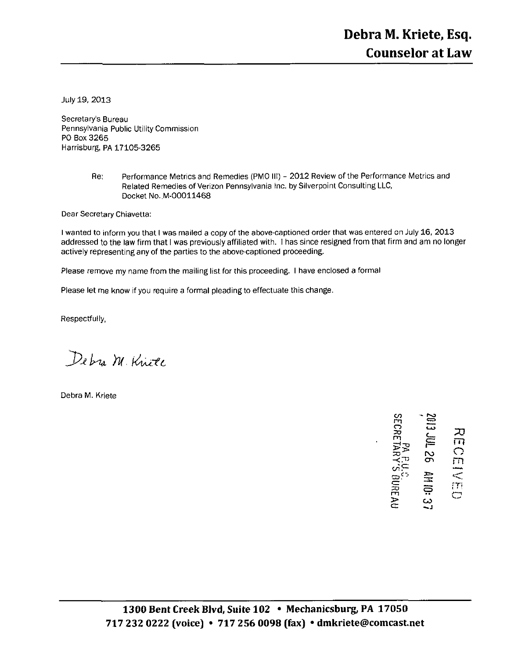July 19, 2013

Secretary's Bureau Pennsylvania Public Utility Commission PO Box 3265 Harrisburg, PA 17105-3265

> Re: Performance Metrics and Remedies (PMO III) - 2012 Review of the Performance Metrics and Related Remedies of Verizon Pennsylvania Inc. by Silverpoint Consulting LLC, Docket No.,M-00011468

Dear Secretary Chiavetta:

I wanted to inform you that I was mailed a copy of the above-captioned order that was entered on July 16, 2013 addressed to the law firm that I was previously affiliated with. I has since resigned from that firm and am no longer actively representing any of the parties to the above-captioned proceeding.

Please remove my name from the mailing list for this proceeding. I have enclosed a formal

Please let me know if you require a formal pleading to effectuate this change.

Respectfully,

Debra M. Kniel

Debra M. Kriete

r - ro  $\vec{\bf n}$  က カ rn )=  $\frac{1}{2}$   $\equiv$   $\frac{\pi}{2}$ f~ —— 요.. 품  $\leq$  $\overline{P}$   $\overline{P}$